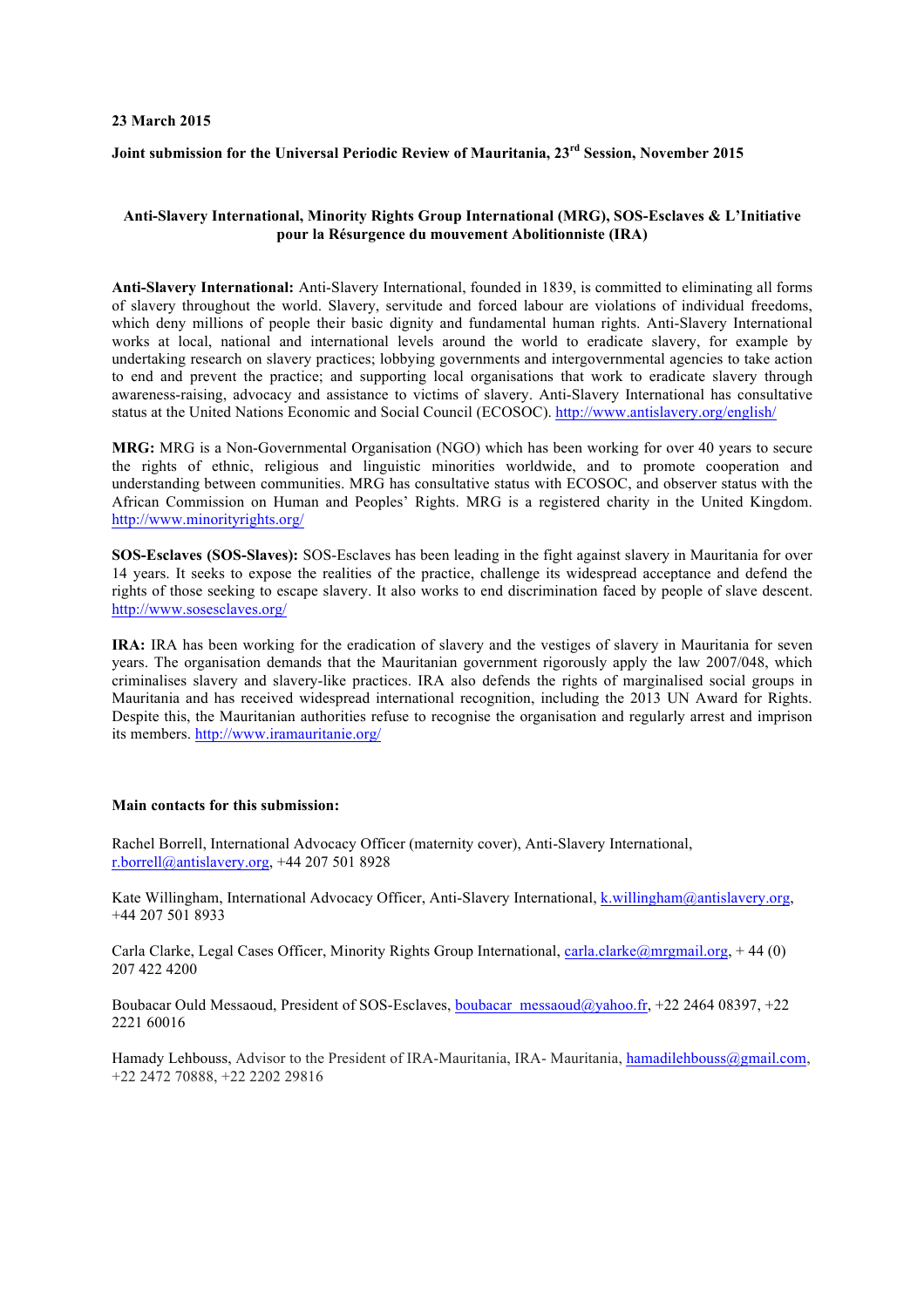#### **23 March 2015**

### **Joint submission for the Universal Periodic Review of Mauritania, 23rd Session, November 2015**

#### **Anti-Slavery International, Minority Rights Group International (MRG), SOS-Esclaves & L'Initiative pour la Résurgence du mouvement Abolitionniste (IRA)**

**Anti-Slavery International:** Anti-Slavery International, founded in 1839, is committed to eliminating all forms of slavery throughout the world. Slavery, servitude and forced labour are violations of individual freedoms, which deny millions of people their basic dignity and fundamental human rights. Anti-Slavery International works at local, national and international levels around the world to eradicate slavery, for example by undertaking research on slavery practices; lobbying governments and intergovernmental agencies to take action to end and prevent the practice; and supporting local organisations that work to eradicate slavery through awareness-raising, advocacy and assistance to victims of slavery. Anti-Slavery International has consultative status at the United Nations Economic and Social Council (ECOSOC). http://www.antislavery.org/english/

**MRG:** MRG is a Non-Governmental Organisation (NGO) which has been working for over 40 years to secure the rights of ethnic, religious and linguistic minorities worldwide, and to promote cooperation and understanding between communities. MRG has consultative status with ECOSOC, and observer status with the African Commission on Human and Peoples' Rights. MRG is a registered charity in the United Kingdom. http://www.minorityrights.org/

**SOS-Esclaves (SOS-Slaves):** SOS-Esclaves has been leading in the fight against slavery in Mauritania for over 14 years. It seeks to expose the realities of the practice, challenge its widespread acceptance and defend the rights of those seeking to escape slavery. It also works to end discrimination faced by people of slave descent. http://www.sosesclaves.org/

**IRA:** IRA has been working for the eradication of slavery and the vestiges of slavery in Mauritania for seven years. The organisation demands that the Mauritanian government rigorously apply the law 2007/048, which criminalises slavery and slavery-like practices. IRA also defends the rights of marginalised social groups in Mauritania and has received widespread international recognition, including the 2013 UN Award for Rights. Despite this, the Mauritanian authorities refuse to recognise the organisation and regularly arrest and imprison its members. http://www.iramauritanie.org/

#### **Main contacts for this submission:**

Rachel Borrell, International Advocacy Officer (maternity cover), Anti-Slavery International, r.borrell@antislavery.org, +44 207 501 8928

Kate Willingham, International Advocacy Officer, Anti-Slavery International, k.willingham@antislavery.org, +44 207 501 8933

Carla Clarke, Legal Cases Officer, Minority Rights Group International, carla.clarke@mrgmail.org, +44 (0) 207 422 4200

Boubacar Ould Messaoud, President of SOS-Esclaves, boubacar\_messaoud@yahoo.fr, +22 2464 08397, +22 2221 60016

Hamady Lehbouss, Advisor to the President of IRA-Mauritania, IRA-Mauritania, hamadilehbouss@gmail.com, +22 2472 70888, +22 2202 29816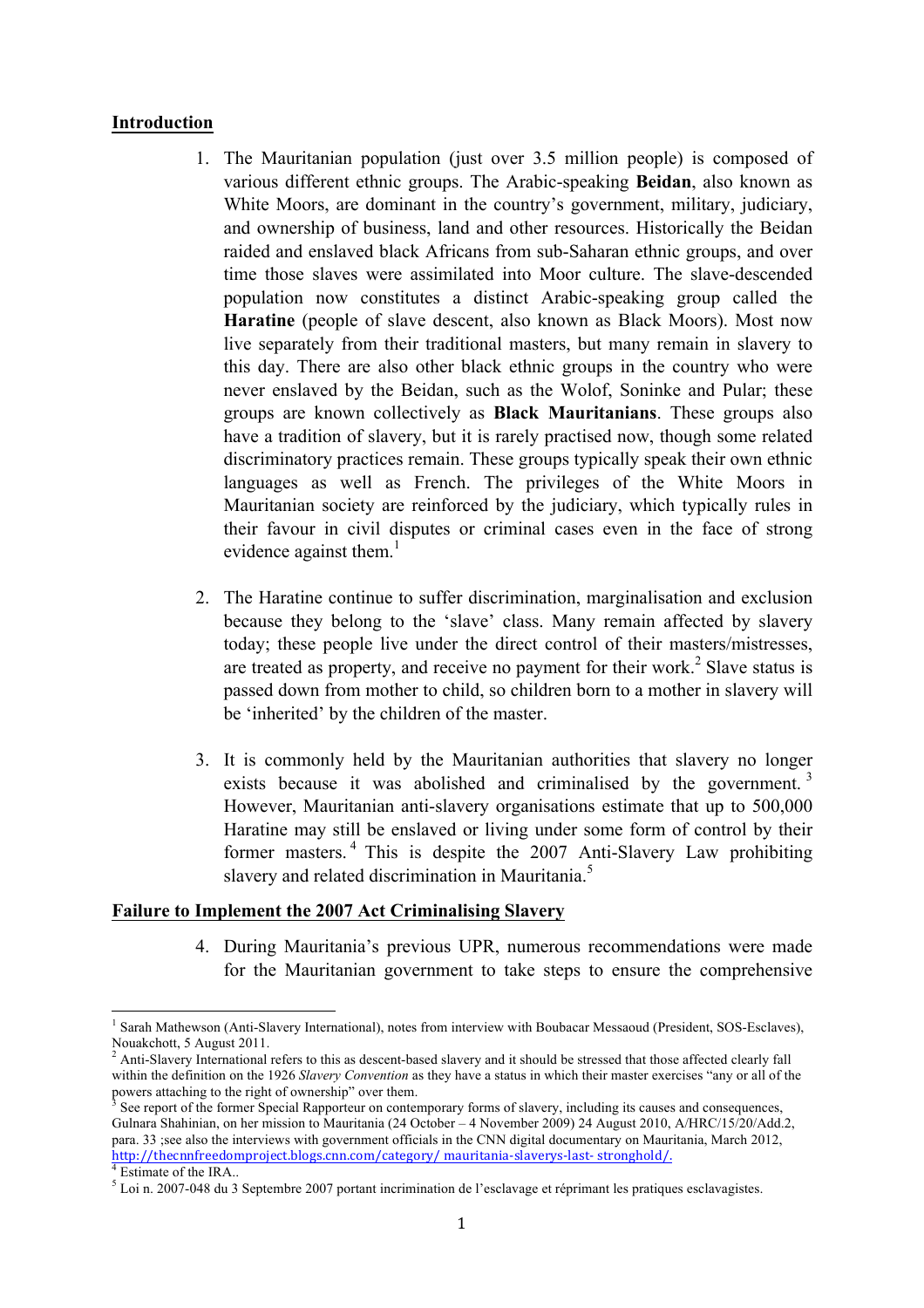## **Introduction**

- 1. The Mauritanian population (just over 3.5 million people) is composed of various different ethnic groups. The Arabic-speaking **Beidan**, also known as White Moors, are dominant in the country's government, military, judiciary, and ownership of business, land and other resources. Historically the Beidan raided and enslaved black Africans from sub-Saharan ethnic groups, and over time those slaves were assimilated into Moor culture. The slave-descended population now constitutes a distinct Arabic-speaking group called the **Haratine** (people of slave descent, also known as Black Moors). Most now live separately from their traditional masters, but many remain in slavery to this day. There are also other black ethnic groups in the country who were never enslaved by the Beidan, such as the Wolof, Soninke and Pular; these groups are known collectively as **Black Mauritanians**. These groups also have a tradition of slavery, but it is rarely practised now, though some related discriminatory practices remain. These groups typically speak their own ethnic languages as well as French. The privileges of the White Moors in Mauritanian society are reinforced by the judiciary, which typically rules in their favour in civil disputes or criminal cases even in the face of strong evidence against them. $<sup>1</sup>$ </sup>
- 2. The Haratine continue to suffer discrimination, marginalisation and exclusion because they belong to the 'slave' class. Many remain affected by slavery today; these people live under the direct control of their masters/mistresses, are treated as property, and receive no payment for their work.<sup>2</sup> Slave status is passed down from mother to child, so children born to a mother in slavery will be 'inherited' by the children of the master.
- 3. It is commonly held by the Mauritanian authorities that slavery no longer exists because it was abolished and criminalised by the government.<sup>3</sup> However, Mauritanian anti-slavery organisations estimate that up to 500,000 Haratine may still be enslaved or living under some form of control by their former masters. <sup>4</sup> This is despite the 2007 Anti-Slavery Law prohibiting slavery and related discrimination in Mauritania.<sup>5</sup>

### **Failure to Implement the 2007 Act Criminalising Slavery**

<u> 1989 - Johann Stein, marwolaethau a bh</u>

4. During Mauritania's previous UPR, numerous recommendations were made for the Mauritanian government to take steps to ensure the comprehensive

<sup>&</sup>lt;sup>1</sup> Sarah Mathewson (Anti-Slavery International), notes from interview with Boubacar Messaoud (President, SOS-Esclaves), Nouakchott, 5 August 2011.<br>
<sup>2</sup> Anti S<sup>1</sup>

<sup>2</sup> Anti-Slavery International refers to this as descent-based slavery and it should be stressed that those affected clearly fall within the definition on the 1926 *Slavery Convention* as they have a status in which their master exercises "any or all of the powers attaching to the right of ownership" over them.

See report of the former Special Rapporteur on contemporary forms of slavery, including its causes and consequences, Gulnara Shahinian, on her mission to Mauritania (24 October – 4 November 2009) 24 August 2010, A/HRC/15/20/Add.2, para. 33 ;see also the interviews with government officials in the CNN digital documentary on Mauritania, March 2012, http://thecnnfreedomproject.blogs.cnn.com/category/ mauritania-slaverys-last- stronghold/.<br><sup>4</sup> Estimate of the IRA..

<sup>5</sup> Loi n. 2007-048 du 3 Septembre 2007 portant incrimination de l'esclavage et réprimant les pratiques esclavagistes.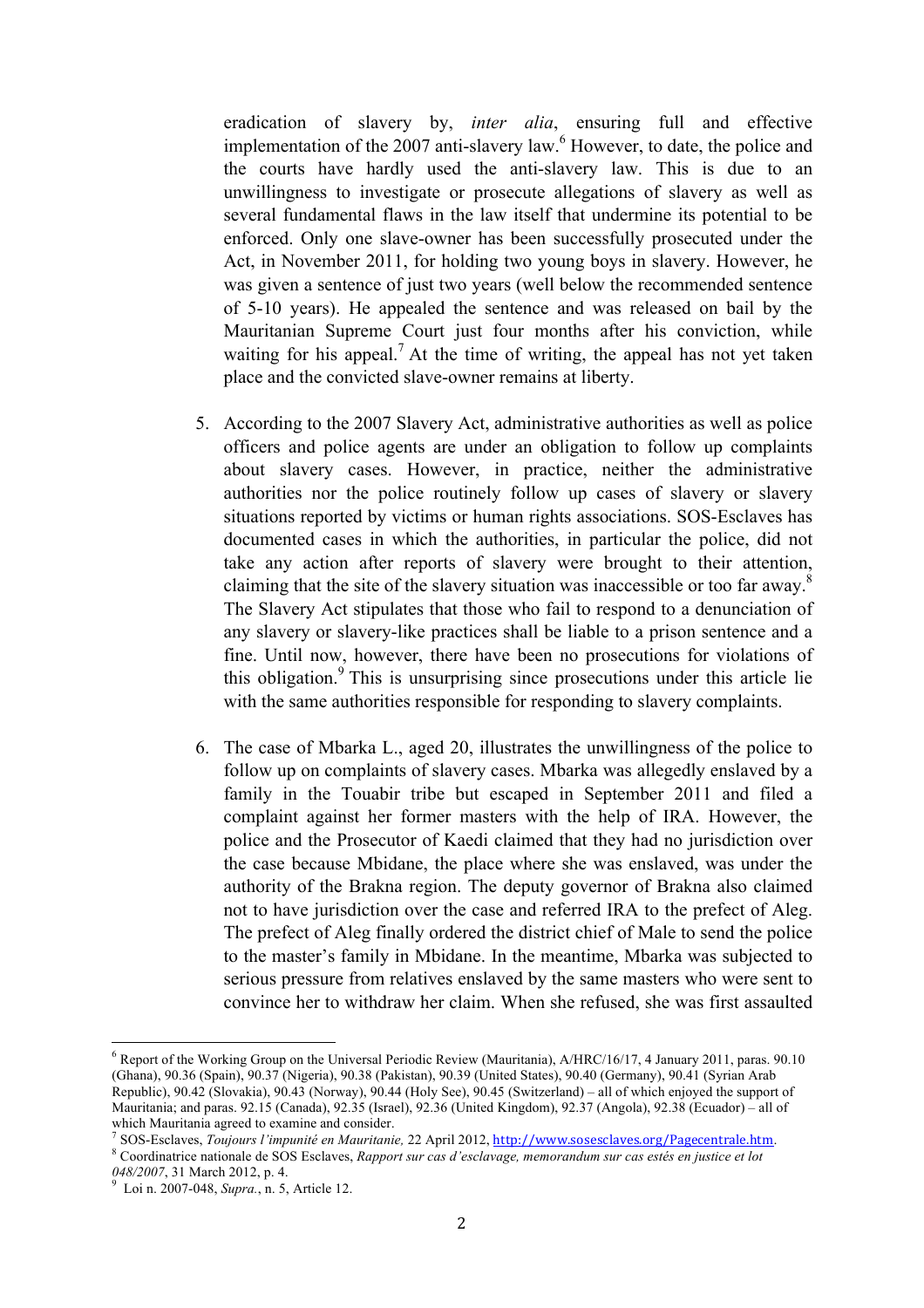eradication of slavery by, *inter alia*, ensuring full and effective implementation of the  $2007$  anti-slavery law.<sup>6</sup> However, to date, the police and the courts have hardly used the anti-slavery law. This is due to an unwillingness to investigate or prosecute allegations of slavery as well as several fundamental flaws in the law itself that undermine its potential to be enforced. Only one slave-owner has been successfully prosecuted under the Act, in November 2011, for holding two young boys in slavery. However, he was given a sentence of just two years (well below the recommended sentence of 5-10 years). He appealed the sentence and was released on bail by the Mauritanian Supreme Court just four months after his conviction, while waiting for his appeal.<sup>7</sup> At the time of writing, the appeal has not yet taken place and the convicted slave-owner remains at liberty.

- 5. According to the 2007 Slavery Act, administrative authorities as well as police officers and police agents are under an obligation to follow up complaints about slavery cases. However, in practice, neither the administrative authorities nor the police routinely follow up cases of slavery or slavery situations reported by victims or human rights associations. SOS-Esclaves has documented cases in which the authorities, in particular the police, did not take any action after reports of slavery were brought to their attention, claiming that the site of the slavery situation was inaccessible or too far away.<sup>8</sup> The Slavery Act stipulates that those who fail to respond to a denunciation of any slavery or slavery-like practices shall be liable to a prison sentence and a fine. Until now, however, there have been no prosecutions for violations of this obligation.<sup>9</sup> This is unsurprising since prosecutions under this article lie with the same authorities responsible for responding to slavery complaints.
- 6. The case of Mbarka L., aged 20, illustrates the unwillingness of the police to follow up on complaints of slavery cases. Mbarka was allegedly enslaved by a family in the Touabir tribe but escaped in September 2011 and filed a complaint against her former masters with the help of IRA. However, the police and the Prosecutor of Kaedi claimed that they had no jurisdiction over the case because Mbidane, the place where she was enslaved, was under the authority of the Brakna region. The deputy governor of Brakna also claimed not to have jurisdiction over the case and referred IRA to the prefect of Aleg. The prefect of Aleg finally ordered the district chief of Male to send the police to the master's family in Mbidane. In the meantime, Mbarka was subjected to serious pressure from relatives enslaved by the same masters who were sent to convince her to withdraw her claim. When she refused, she was first assaulted

<sup>6</sup> Report of the Working Group on the Universal Periodic Review (Mauritania), A/HRC/16/17, 4 January 2011, paras. 90.10 (Ghana), 90.36 (Spain), 90.37 (Nigeria), 90.38 (Pakistan), 90.39 (United States), 90.40 (Germany), 90.41 (Syrian Arab Republic), 90.42 (Slovakia), 90.43 (Norway), 90.44 (Holy See), 90.45 (Switzerland) – all of which enjoyed the support of Mauritania; and paras. 92.15 (Canada), 92.35 (Israel), 92.36 (United Kingdom), 92.37 (Angola), 92.38 (Ecuador) – all of

which Mauritania agreed to examine and consider.<br><sup>7</sup> SOS-Esclaves, *Toujours l'impunité en Mauritanie*, 22 April 2012, *http://www.sosesclaves.org/Pagecentrale.htm.*<br><sup>8</sup> Coordinatrice nationale de SOS Esclaves, *Rapport su* 

<sup>048/2007, 31</sup> March 2012, p. 4.<br><sup>9</sup> Loi n. 2007-048, *Supra.*, n. 5, Article 12.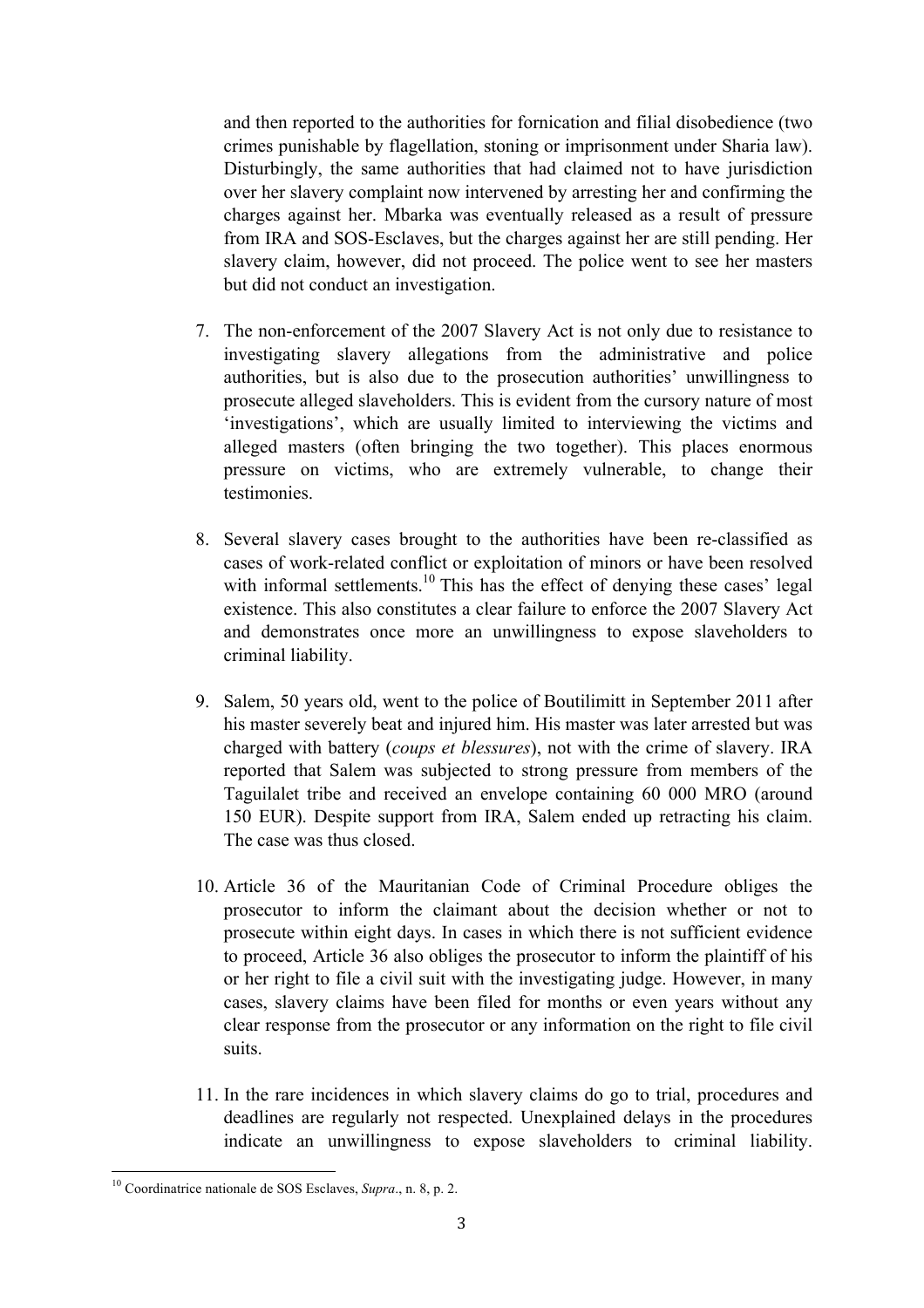and then reported to the authorities for fornication and filial disobedience (two crimes punishable by flagellation, stoning or imprisonment under Sharia law). Disturbingly, the same authorities that had claimed not to have jurisdiction over her slavery complaint now intervened by arresting her and confirming the charges against her. Mbarka was eventually released as a result of pressure from IRA and SOS-Esclaves, but the charges against her are still pending. Her slavery claim, however, did not proceed. The police went to see her masters but did not conduct an investigation.

- 7. The non-enforcement of the 2007 Slavery Act is not only due to resistance to investigating slavery allegations from the administrative and police authorities, but is also due to the prosecution authorities' unwillingness to prosecute alleged slaveholders. This is evident from the cursory nature of most 'investigations', which are usually limited to interviewing the victims and alleged masters (often bringing the two together). This places enormous pressure on victims, who are extremely vulnerable, to change their testimonies.
- 8. Several slavery cases brought to the authorities have been re-classified as cases of work-related conflict or exploitation of minors or have been resolved with informal settlements.<sup>10</sup> This has the effect of denying these cases' legal existence. This also constitutes a clear failure to enforce the 2007 Slavery Act and demonstrates once more an unwillingness to expose slaveholders to criminal liability.
- 9. Salem, 50 years old, went to the police of Boutilimitt in September 2011 after his master severely beat and injured him. His master was later arrested but was charged with battery (*coups et blessures*), not with the crime of slavery. IRA reported that Salem was subjected to strong pressure from members of the Taguilalet tribe and received an envelope containing 60 000 MRO (around 150 EUR). Despite support from IRA, Salem ended up retracting his claim. The case was thus closed.
- 10. Article 36 of the Mauritanian Code of Criminal Procedure obliges the prosecutor to inform the claimant about the decision whether or not to prosecute within eight days. In cases in which there is not sufficient evidence to proceed, Article 36 also obliges the prosecutor to inform the plaintiff of his or her right to file a civil suit with the investigating judge. However, in many cases, slavery claims have been filed for months or even years without any clear response from the prosecutor or any information on the right to file civil suits.
- 11. In the rare incidences in which slavery claims do go to trial, procedures and deadlines are regularly not respected. Unexplained delays in the procedures indicate an unwillingness to expose slaveholders to criminal liability.

<sup>&</sup>lt;u> 1989 - Johann Stein, marwolaethau a bh</u> <sup>10</sup> Coordinatrice nationale de SOS Esclaves, *Supra*., n. 8, p. 2.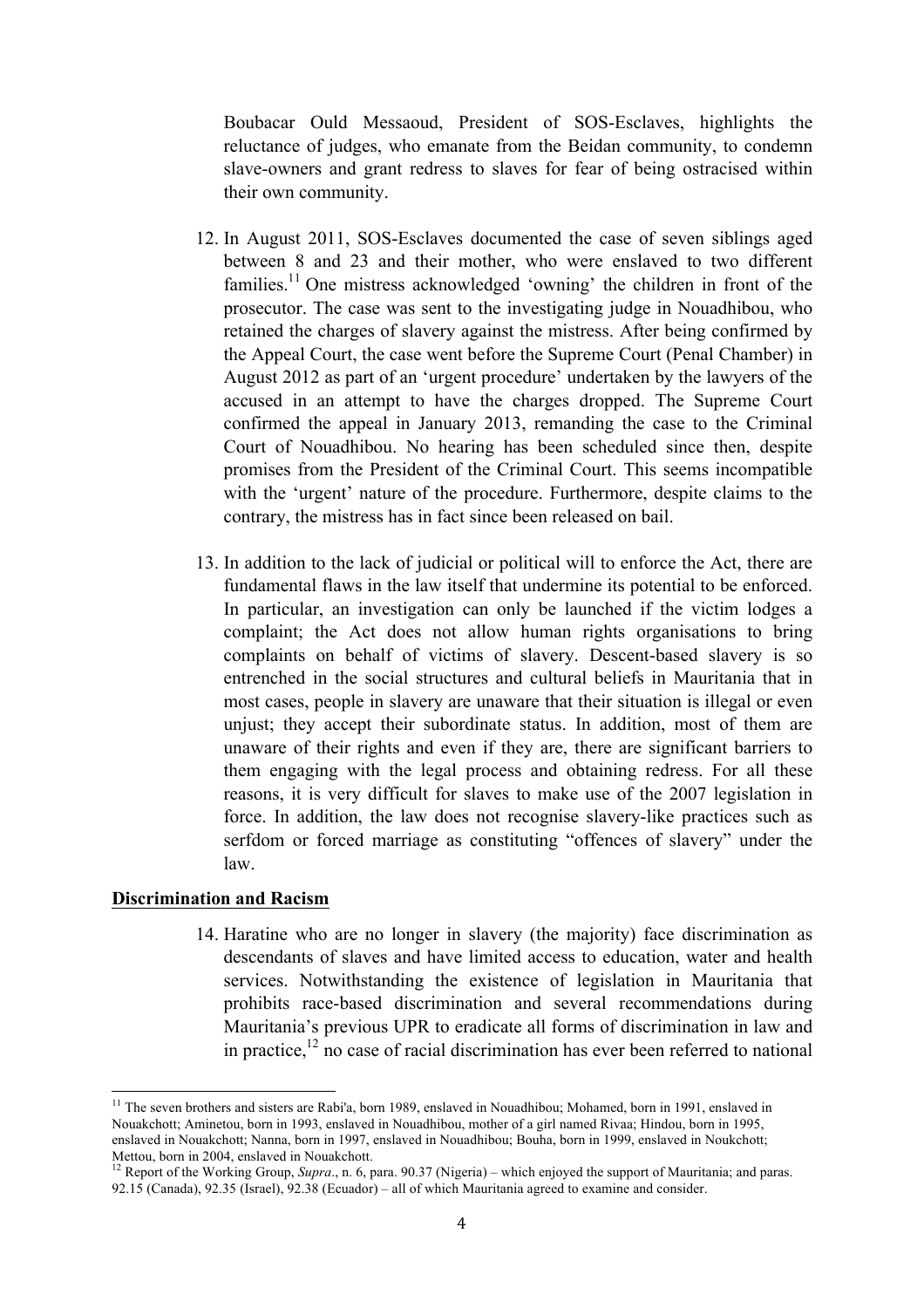Boubacar Ould Messaoud, President of SOS-Esclaves, highlights the reluctance of judges, who emanate from the Beidan community, to condemn slave-owners and grant redress to slaves for fear of being ostracised within their own community.

- 12. In August 2011, SOS-Esclaves documented the case of seven siblings aged between 8 and 23 and their mother, who were enslaved to two different families.<sup>11</sup> One mistress acknowledged 'owning' the children in front of the prosecutor. The case was sent to the investigating judge in Nouadhibou, who retained the charges of slavery against the mistress. After being confirmed by the Appeal Court, the case went before the Supreme Court (Penal Chamber) in August 2012 as part of an 'urgent procedure' undertaken by the lawyers of the accused in an attempt to have the charges dropped. The Supreme Court confirmed the appeal in January 2013, remanding the case to the Criminal Court of Nouadhibou. No hearing has been scheduled since then, despite promises from the President of the Criminal Court. This seems incompatible with the 'urgent' nature of the procedure. Furthermore, despite claims to the contrary, the mistress has in fact since been released on bail.
- 13. In addition to the lack of judicial or political will to enforce the Act, there are fundamental flaws in the law itself that undermine its potential to be enforced. In particular, an investigation can only be launched if the victim lodges a complaint; the Act does not allow human rights organisations to bring complaints on behalf of victims of slavery. Descent-based slavery is so entrenched in the social structures and cultural beliefs in Mauritania that in most cases, people in slavery are unaware that their situation is illegal or even unjust; they accept their subordinate status. In addition, most of them are unaware of their rights and even if they are, there are significant barriers to them engaging with the legal process and obtaining redress. For all these reasons, it is very difficult for slaves to make use of the 2007 legislation in force. In addition, the law does not recognise slavery-like practices such as serfdom or forced marriage as constituting "offences of slavery" under the law.

## **Discrimination and Racism**

<u> 1989 - Johann Stein, marwolaethau a bh</u>

14. Haratine who are no longer in slavery (the majority) face discrimination as descendants of slaves and have limited access to education, water and health services. Notwithstanding the existence of legislation in Mauritania that prohibits race-based discrimination and several recommendations during Mauritania's previous UPR to eradicate all forms of discrimination in law and in practice, $12$  no case of racial discrimination has ever been referred to national

<sup>&</sup>lt;sup>11</sup> The seven brothers and sisters are Rabi'a, born 1989, enslaved in Nouadhibou; Mohamed, born in 1991, enslaved in Nouakchott; Aminetou, born in 1993, enslaved in Nouadhibou, mother of a girl named Rivaa; Hindou, born in 1995, enslaved in Nouakchott; Nanna, born in 1997, enslaved in Nouadhibou; Bouha, born in 1999, enslaved in Noukchott; Mettou, born in 2004, enslaved in Nouakchott.

<sup>&</sup>lt;sup>12</sup> Report of the Working Group, *Supra*., n. 6, para. 90.37 (Nigeria) – which enjoyed the support of Mauritania; and paras. 92.15 (Canada), 92.35 (Israel), 92.38 (Ecuador) – all of which Mauritania agreed to examine and consider.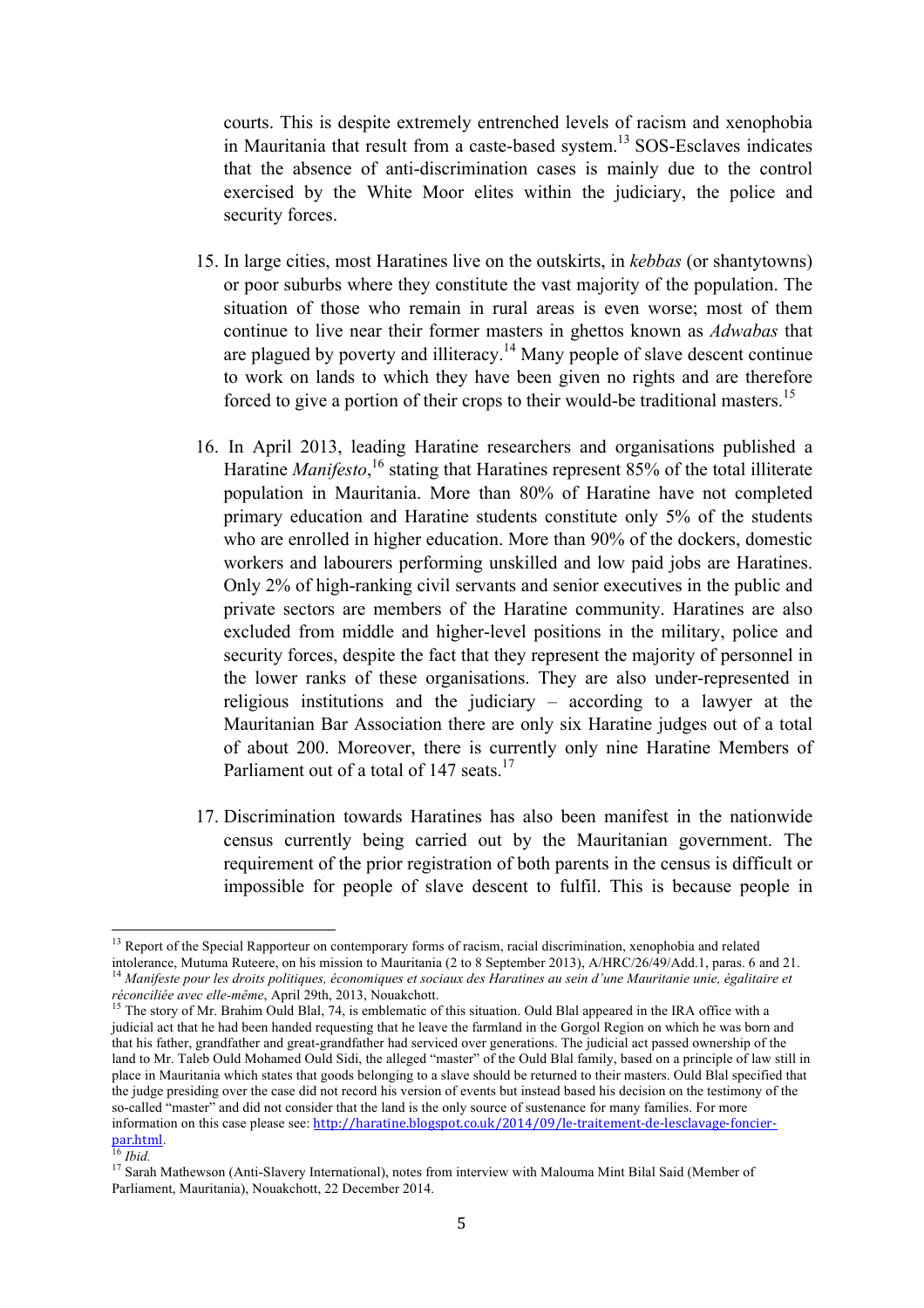courts. This is despite extremely entrenched levels of racism and xenophobia in Mauritania that result from a caste-based system.<sup>13</sup> SOS-Esclaves indicates that the absence of anti-discrimination cases is mainly due to the control exercised by the White Moor elites within the judiciary, the police and security forces.

- 15. In large cities, most Haratines live on the outskirts, in *kebbas* (or shantytowns) or poor suburbs where they constitute the vast majority of the population. The situation of those who remain in rural areas is even worse; most of them continue to live near their former masters in ghettos known as *Adwabas* that are plagued by poverty and illiteracy.<sup>14</sup> Many people of slave descent continue to work on lands to which they have been given no rights and are therefore forced to give a portion of their crops to their would-be traditional masters.<sup>15</sup>
- 16. In April 2013, leading Haratine researchers and organisations published a Haratine *Manifesto*,<sup>16</sup> stating that Haratines represent 85% of the total illiterate population in Mauritania. More than 80% of Haratine have not completed primary education and Haratine students constitute only 5% of the students who are enrolled in higher education. More than 90% of the dockers, domestic workers and labourers performing unskilled and low paid jobs are Haratines. Only 2% of high-ranking civil servants and senior executives in the public and private sectors are members of the Haratine community. Haratines are also excluded from middle and higher-level positions in the military, police and security forces, despite the fact that they represent the majority of personnel in the lower ranks of these organisations. They are also under-represented in religious institutions and the judiciary – according to a lawyer at the Mauritanian Bar Association there are only six Haratine judges out of a total of about 200. Moreover, there is currently only nine Haratine Members of Parliament out of a total of 147 seats.<sup>17</sup>
- 17. Discrimination towards Haratines has also been manifest in the nationwide census currently being carried out by the Mauritanian government. The requirement of the prior registration of both parents in the census is difficult or impossible for people of slave descent to fulfil. This is because people in

<sup>&</sup>lt;sup>13</sup> Report of the Special Rapporteur on contemporary forms of racism, racial discrimination, xenophobia and related intolerance, Mutuma Ruteere, on his mission to Mauritania (2 to 8 September 2013), A/HRC/26/49/Add.1, paras. 6 and 21.<br><sup>14</sup> Manifeste pour les droits politiques, économiques et sociaux des Haratines au sein d'une Mauritani

*réconciliée avec elle-même*, April 29th, 2013, Nouakchott.<br>
<sup>15</sup> The story of Mr. Brahim Ould Blal, 74, is emblematic of this situation. Ould Blal appeared in the IRA office with a judicial act that he had been handed requesting that he leave the farmland in the Gorgol Region on which he was born and that his father, grandfather and great-grandfather had serviced over generations. The judicial act passed ownership of the land to Mr. Taleb Ould Mohamed Ould Sidi, the alleged "master" of the Ould Blal family, based on a principle of law still in place in Mauritania which states that goods belonging to a slave should be returned to their masters. Ould Blal specified that the judge presiding over the case did not record his version of events but instead based his decision on the testimony of the so-called "master" and did not consider that the land is the only source of sustenance for many families. For more information on this case please see: http://haratine.blogspot.co.uk/2014/09/le-traitement-de-lesclavage-foncierpar.html.<br><sup>16</sup> *Ibid.* 17 Sarah Mathewson (Anti-Slavery International), notes from interview with Malouma Mint Bilal Said (Member of

Parliament, Mauritania), Nouakchott, 22 December 2014.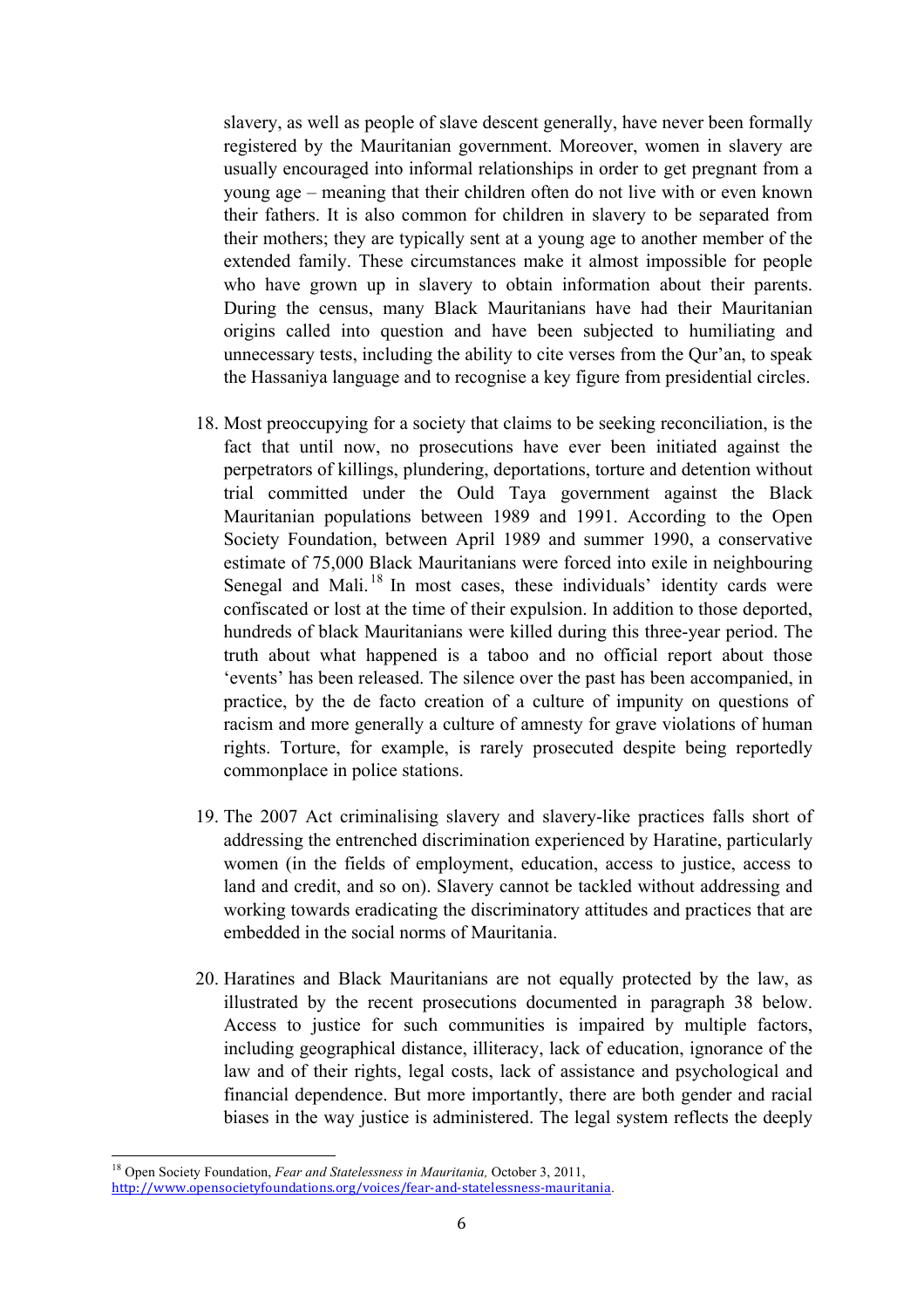slavery, as well as people of slave descent generally, have never been formally registered by the Mauritanian government. Moreover, women in slavery are usually encouraged into informal relationships in order to get pregnant from a young age – meaning that their children often do not live with or even known their fathers. It is also common for children in slavery to be separated from their mothers; they are typically sent at a young age to another member of the extended family. These circumstances make it almost impossible for people who have grown up in slavery to obtain information about their parents. During the census, many Black Mauritanians have had their Mauritanian origins called into question and have been subjected to humiliating and unnecessary tests, including the ability to cite verses from the Qur'an, to speak the Hassaniya language and to recognise a key figure from presidential circles.

- 18. Most preoccupying for a society that claims to be seeking reconciliation, is the fact that until now, no prosecutions have ever been initiated against the perpetrators of killings, plundering, deportations, torture and detention without trial committed under the Ould Taya government against the Black Mauritanian populations between 1989 and 1991. According to the Open Society Foundation, between April 1989 and summer 1990, a conservative estimate of 75,000 Black Mauritanians were forced into exile in neighbouring Senegal and Mali.<sup>18</sup> In most cases, these individuals' identity cards were confiscated or lost at the time of their expulsion. In addition to those deported, hundreds of black Mauritanians were killed during this three-year period. The truth about what happened is a taboo and no official report about those 'events' has been released. The silence over the past has been accompanied, in practice, by the de facto creation of a culture of impunity on questions of racism and more generally a culture of amnesty for grave violations of human rights. Torture, for example, is rarely prosecuted despite being reportedly commonplace in police stations.
- 19. The 2007 Act criminalising slavery and slavery-like practices falls short of addressing the entrenched discrimination experienced by Haratine, particularly women (in the fields of employment, education, access to justice, access to land and credit, and so on). Slavery cannot be tackled without addressing and working towards eradicating the discriminatory attitudes and practices that are embedded in the social norms of Mauritania.
- 20. Haratines and Black Mauritanians are not equally protected by the law, as illustrated by the recent prosecutions documented in paragraph 38 below. Access to justice for such communities is impaired by multiple factors, including geographical distance, illiteracy, lack of education, ignorance of the law and of their rights, legal costs, lack of assistance and psychological and financial dependence. But more importantly, there are both gender and racial biases in the way justice is administered. The legal system reflects the deeply

<sup>18</sup> Open Society Foundation, *Fear and Statelessness in Mauritania,* October 3, 2011, http://www.opensocietyfoundations.org/voices/fear-and-statelessness-mauritania.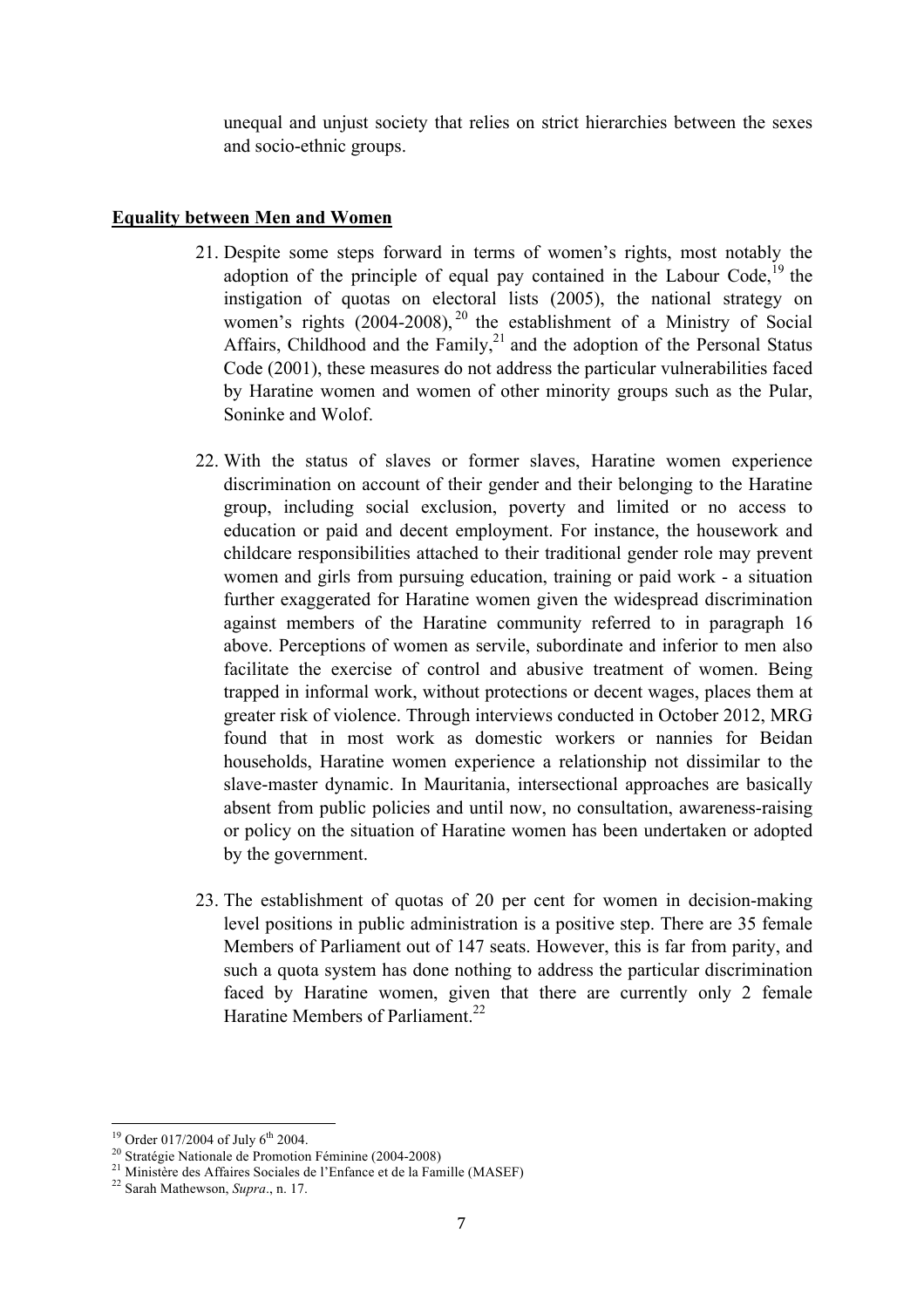unequal and unjust society that relies on strict hierarchies between the sexes and socio-ethnic groups.

## **Equality between Men and Women**

- 21. Despite some steps forward in terms of women's rights, most notably the adoption of the principle of equal pay contained in the Labour Code,<sup>19</sup> the instigation of quotas on electoral lists (2005), the national strategy on women's rights  $(2004-2008)$ , <sup>20</sup> the establishment of a Ministry of Social Affairs, Childhood and the Family, $^{21}$  and the adoption of the Personal Status Code (2001), these measures do not address the particular vulnerabilities faced by Haratine women and women of other minority groups such as the Pular, Soninke and Wolof.
- 22. With the status of slaves or former slaves, Haratine women experience discrimination on account of their gender and their belonging to the Haratine group, including social exclusion, poverty and limited or no access to education or paid and decent employment. For instance, the housework and childcare responsibilities attached to their traditional gender role may prevent women and girls from pursuing education, training or paid work - a situation further exaggerated for Haratine women given the widespread discrimination against members of the Haratine community referred to in paragraph 16 above. Perceptions of women as servile, subordinate and inferior to men also facilitate the exercise of control and abusive treatment of women. Being trapped in informal work, without protections or decent wages, places them at greater risk of violence. Through interviews conducted in October 2012, MRG found that in most work as domestic workers or nannies for Beidan households, Haratine women experience a relationship not dissimilar to the slave-master dynamic. In Mauritania, intersectional approaches are basically absent from public policies and until now, no consultation, awareness-raising or policy on the situation of Haratine women has been undertaken or adopted by the government.
- 23. The establishment of quotas of 20 per cent for women in decision-making level positions in public administration is a positive step. There are 35 female Members of Parliament out of 147 seats. However, this is far from parity, and such a quota system has done nothing to address the particular discrimination faced by Haratine women, given that there are currently only 2 female Haratine Members of Parliament.<sup>22</sup>

<sup>&</sup>lt;sup>19</sup> Order 017/2004 of July 6<sup>th</sup> 2004.<br><sup>20</sup> Stratégie Nationale de Promotion Féminine (2004-2008)<br><sup>21</sup> Ministère des Affaires Sociales de l'Enfance et de la Famille (MASEF)<br><sup>22</sup> Sarah Mathewson, *Supra*., n. 17.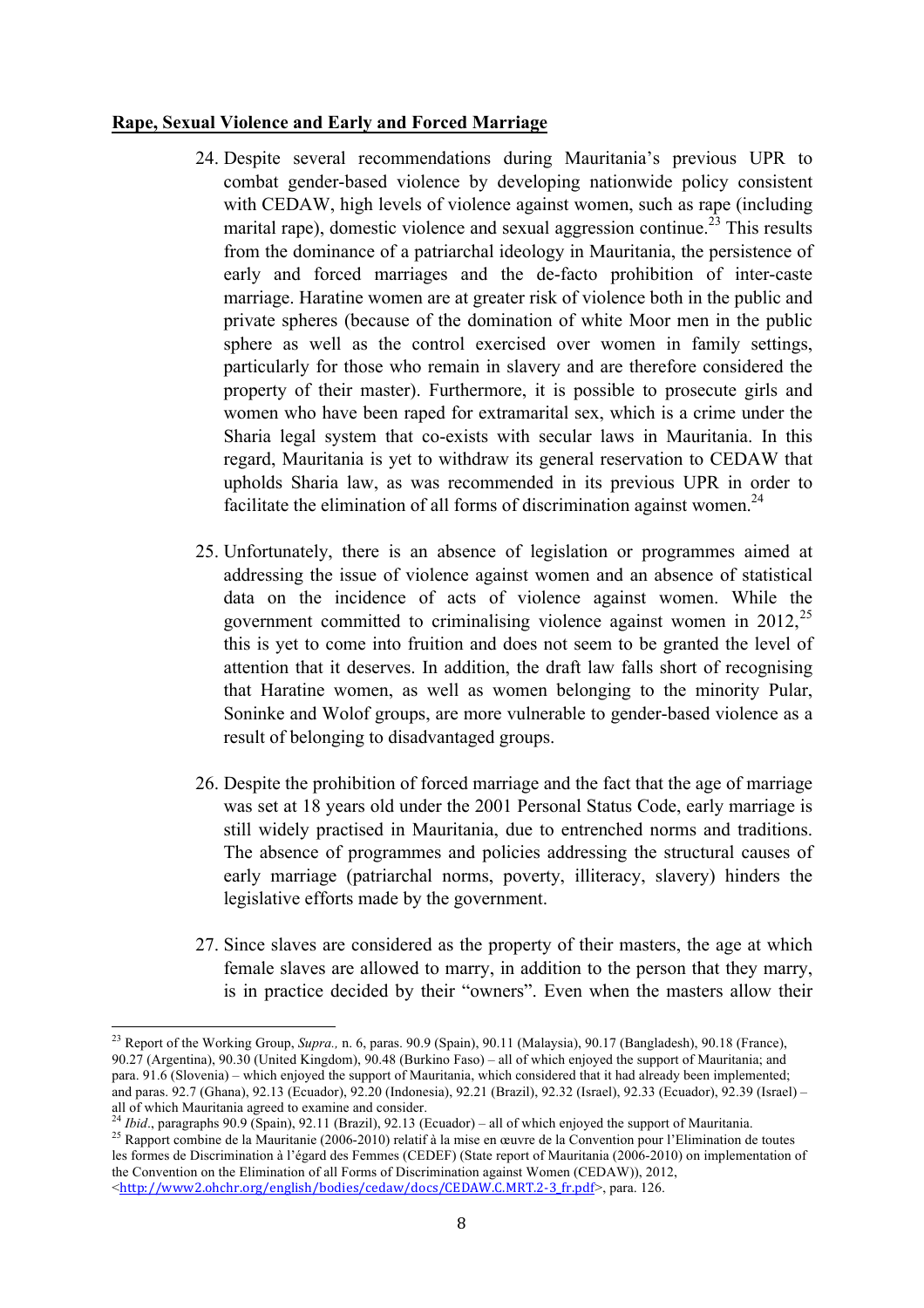## **Rape, Sexual Violence and Early and Forced Marriage**

- 24. Despite several recommendations during Mauritania's previous UPR to combat gender-based violence by developing nationwide policy consistent with CEDAW, high levels of violence against women, such as rape (including) marital rape), domestic violence and sexual aggression continue.<sup>23</sup> This results from the dominance of a patriarchal ideology in Mauritania, the persistence of early and forced marriages and the de-facto prohibition of inter-caste marriage. Haratine women are at greater risk of violence both in the public and private spheres (because of the domination of white Moor men in the public sphere as well as the control exercised over women in family settings, particularly for those who remain in slavery and are therefore considered the property of their master). Furthermore, it is possible to prosecute girls and women who have been raped for extramarital sex, which is a crime under the Sharia legal system that co-exists with secular laws in Mauritania. In this regard, Mauritania is yet to withdraw its general reservation to CEDAW that upholds Sharia law, as was recommended in its previous UPR in order to facilitate the elimination of all forms of discrimination against women.<sup>24</sup>
- 25. Unfortunately, there is an absence of legislation or programmes aimed at addressing the issue of violence against women and an absence of statistical data on the incidence of acts of violence against women. While the government committed to criminalising violence against women in  $2012$ ,<sup>25</sup> this is yet to come into fruition and does not seem to be granted the level of attention that it deserves. In addition, the draft law falls short of recognising that Haratine women, as well as women belonging to the minority Pular, Soninke and Wolof groups, are more vulnerable to gender-based violence as a result of belonging to disadvantaged groups.
- 26. Despite the prohibition of forced marriage and the fact that the age of marriage was set at 18 years old under the 2001 Personal Status Code, early marriage is still widely practised in Mauritania, due to entrenched norms and traditions. The absence of programmes and policies addressing the structural causes of early marriage (patriarchal norms, poverty, illiteracy, slavery) hinders the legislative efforts made by the government.
- 27. Since slaves are considered as the property of their masters, the age at which female slaves are allowed to marry, in addition to the person that they marry, is in practice decided by their "owners". Even when the masters allow their

<sup>23</sup> Report of the Working Group, *Supra.,* n. 6, paras. 90.9 (Spain), 90.11 (Malaysia), 90.17 (Bangladesh), 90.18 (France), 90.27 (Argentina), 90.30 (United Kingdom), 90.48 (Burkino Faso) – all of which enjoyed the support of Mauritania; and para. 91.6 (Slovenia) – which enjoyed the support of Mauritania, which considered that it had already been implemented; and paras. 92.7 (Ghana), 92.13 (Ecuador), 92.20 (Indonesia), 92.21 (Brazil), 92.32 (Israel), 92.33 (Ecuador), 92.39 (Israel) – all of which Mauritania agreed to examine and consider.<br><sup>24</sup> *Ibid.*, paragraphs 90.9 (Spain), 92.11 (Brazil), 92.13 (Ecuador) – all of which enjoyed the support of Mauritania.

<sup>&</sup>lt;sup>25</sup> Rapport combine de la Mauritanie (2006-2010) relatif à la mise en œuvre de la Convention pour l'Elimination de toutes les formes de Discrimination à l'égard des Femmes (CEDEF) (State report of Mauritania (2006-2010) on implementation of the Convention on the Elimination of all Forms of Discrimination against Women (CEDAW)), 2012, <http://www2.ohchr.org/english/bodies/cedaw/docs/CEDAW.C.MRT.2-3\_fr.pdf>, para. 126.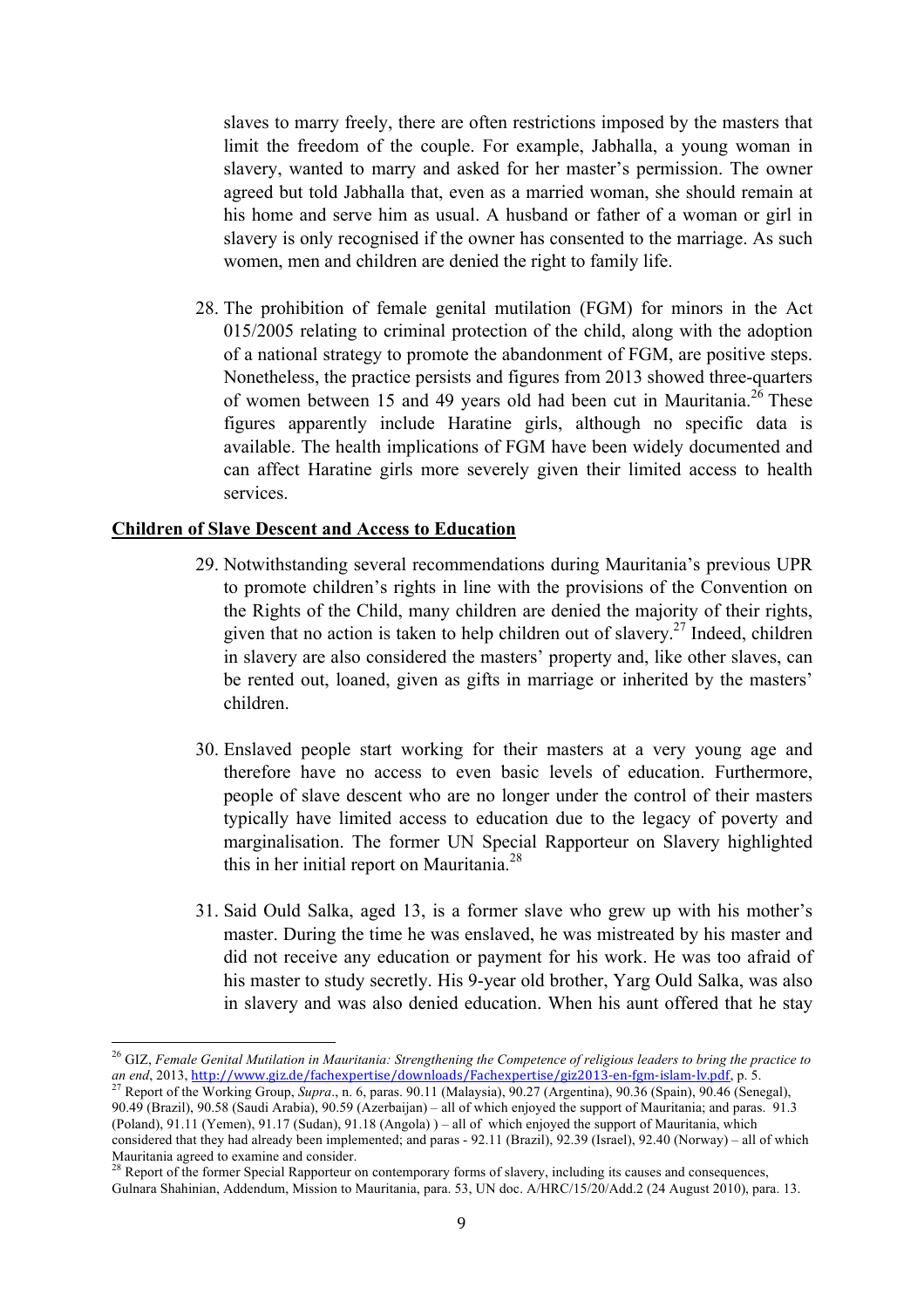slaves to marry freely, there are often restrictions imposed by the masters that limit the freedom of the couple. For example, Jabhalla, a young woman in slavery, wanted to marry and asked for her master's permission. The owner agreed but told Jabhalla that, even as a married woman, she should remain at his home and serve him as usual. A husband or father of a woman or girl in slavery is only recognised if the owner has consented to the marriage. As such women, men and children are denied the right to family life.

28. The prohibition of female genital mutilation (FGM) for minors in the Act 015/2005 relating to criminal protection of the child, along with the adoption of a national strategy to promote the abandonment of FGM, are positive steps. Nonetheless, the practice persists and figures from 2013 showed three-quarters of women between 15 and 49 years old had been cut in Mauritania.<sup>26</sup> These figures apparently include Haratine girls, although no specific data is available. The health implications of FGM have been widely documented and can affect Haratine girls more severely given their limited access to health services.

## **Children of Slave Descent and Access to Education**

- 29. Notwithstanding several recommendations during Mauritania's previous UPR to promote children's rights in line with the provisions of the Convention on the Rights of the Child, many children are denied the majority of their rights, given that no action is taken to help children out of slavery.<sup>27</sup> Indeed, children in slavery are also considered the masters' property and, like other slaves, can be rented out, loaned, given as gifts in marriage or inherited by the masters' children.
- 30. Enslaved people start working for their masters at a very young age and therefore have no access to even basic levels of education. Furthermore, people of slave descent who are no longer under the control of their masters typically have limited access to education due to the legacy of poverty and marginalisation. The former UN Special Rapporteur on Slavery highlighted this in her initial report on Mauritania.<sup>28</sup>
- 31. Said Ould Salka, aged 13, is a former slave who grew up with his mother's master. During the time he was enslaved, he was mistreated by his master and did not receive any education or payment for his work. He was too afraid of his master to study secretly. His 9-year old brother, Yarg Ould Salka, was also in slavery and was also denied education. When his aunt offered that he stay

<sup>26</sup> GIZ, *Female Genital Mutilation in Mauritania: Strengthening the Competence of religious leaders to bring the practice to*  an end, 2013, http://www.giz.de/fachexpertise/downloads/Fachexpertise/giz2013-en-fgm-islam-lv.pdf, p. 5.<br><sup>27</sup> Report of the Working Group, *Supra.*, n. 6, paras. 90.11 (Malaysia), 90.27 (Argentina), 90.36 (Spain), 90.46 (S

<sup>90.49 (</sup>Brazil), 90.58 (Saudi Arabia), 90.59 (Azerbaijan) – all of which enjoyed the support of Mauritania; and paras. 91.3 (Poland), 91.11 (Yemen), 91.17 (Sudan), 91.18 (Angola) ) – all of which enjoyed the support of Mauritania, which considered that they had already been implemented; and paras - 92.11 (Brazil), 92.39 (Israel), 92.40 (Norway) – all of which Mauritania agreed to examine and consider.

<sup>&</sup>lt;sup>28</sup> Report of the former Special Rapporteur on contemporary forms of slavery, including its causes and consequences, Gulnara Shahinian, Addendum, Mission to Mauritania, para. 53, UN doc. A/HRC/15/20/Add.2 (24 August 2010), para. 13.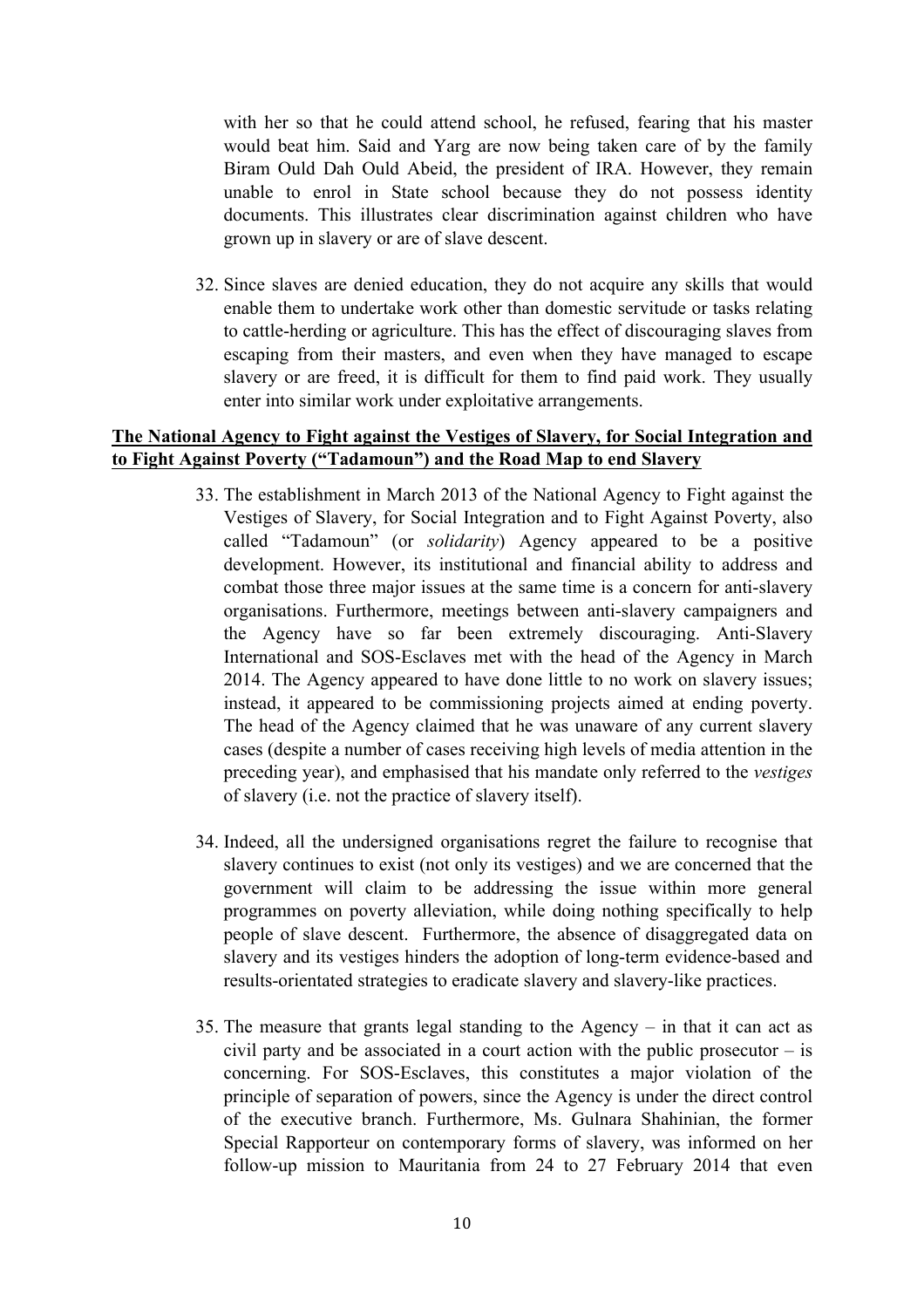with her so that he could attend school, he refused, fearing that his master would beat him. Said and Yarg are now being taken care of by the family Biram Ould Dah Ould Abeid, the president of IRA. However, they remain unable to enrol in State school because they do not possess identity documents. This illustrates clear discrimination against children who have grown up in slavery or are of slave descent.

32. Since slaves are denied education, they do not acquire any skills that would enable them to undertake work other than domestic servitude or tasks relating to cattle-herding or agriculture. This has the effect of discouraging slaves from escaping from their masters, and even when they have managed to escape slavery or are freed, it is difficult for them to find paid work. They usually enter into similar work under exploitative arrangements.

# **The National Agency to Fight against the Vestiges of Slavery, for Social Integration and to Fight Against Poverty ("Tadamoun") and the Road Map to end Slavery**

- 33. The establishment in March 2013 of the National Agency to Fight against the Vestiges of Slavery, for Social Integration and to Fight Against Poverty, also called "Tadamoun" (or *solidarity*) Agency appeared to be a positive development. However, its institutional and financial ability to address and combat those three major issues at the same time is a concern for anti-slavery organisations. Furthermore, meetings between anti-slavery campaigners and the Agency have so far been extremely discouraging. Anti-Slavery International and SOS-Esclaves met with the head of the Agency in March 2014. The Agency appeared to have done little to no work on slavery issues; instead, it appeared to be commissioning projects aimed at ending poverty. The head of the Agency claimed that he was unaware of any current slavery cases (despite a number of cases receiving high levels of media attention in the preceding year), and emphasised that his mandate only referred to the *vestiges* of slavery (i.e. not the practice of slavery itself).
- 34. Indeed, all the undersigned organisations regret the failure to recognise that slavery continues to exist (not only its vestiges) and we are concerned that the government will claim to be addressing the issue within more general programmes on poverty alleviation, while doing nothing specifically to help people of slave descent. Furthermore, the absence of disaggregated data on slavery and its vestiges hinders the adoption of long-term evidence-based and results-orientated strategies to eradicate slavery and slavery-like practices.
- 35. The measure that grants legal standing to the Agency in that it can act as civil party and be associated in a court action with the public prosecutor – is concerning. For SOS-Esclaves, this constitutes a major violation of the principle of separation of powers, since the Agency is under the direct control of the executive branch. Furthermore, Ms. Gulnara Shahinian, the former Special Rapporteur on contemporary forms of slavery, was informed on her follow-up mission to Mauritania from 24 to 27 February 2014 that even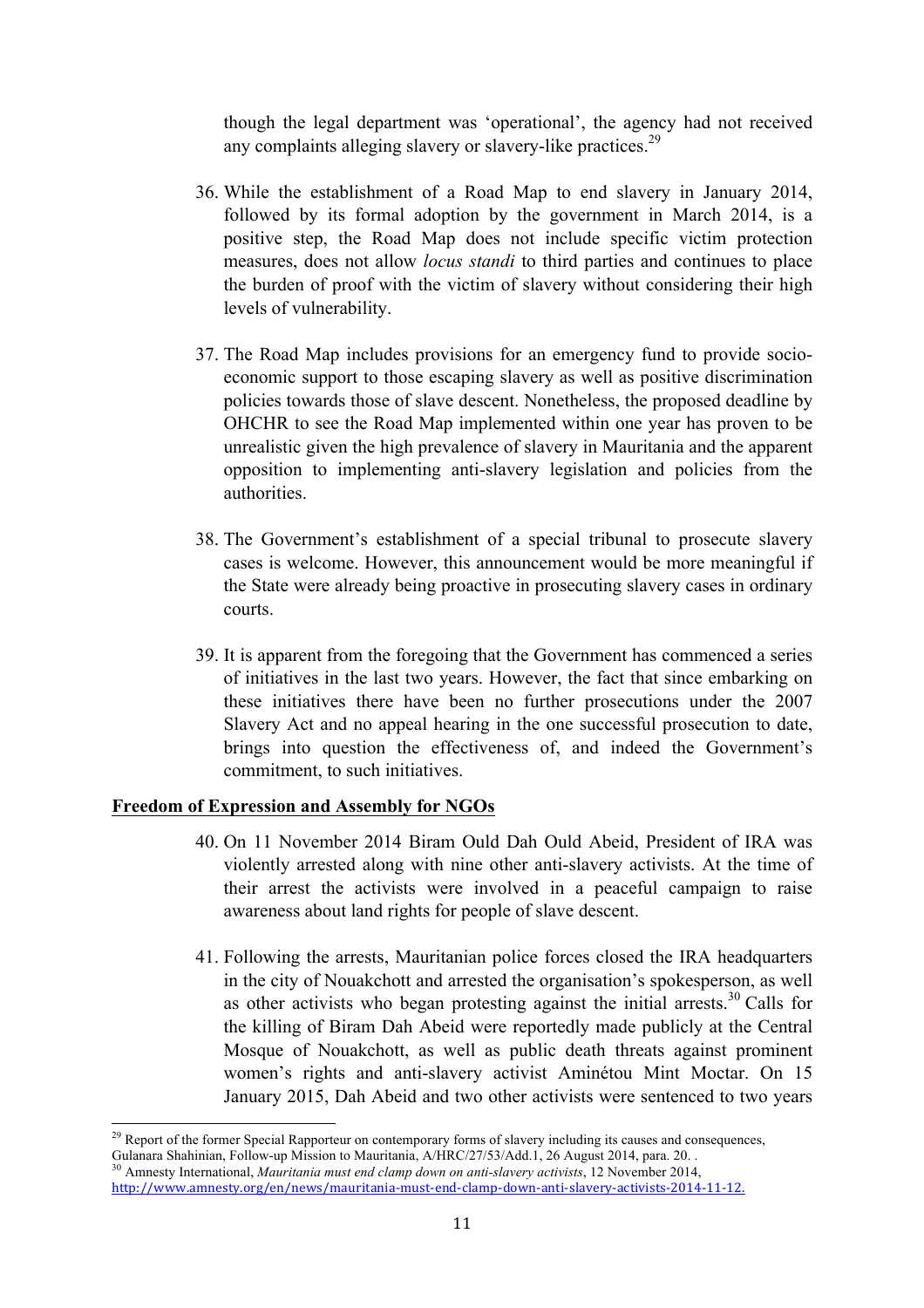though the legal department was 'operational', the agency had not received any complaints alleging slavery or slavery-like practices.<sup>29</sup>

- 36. While the establishment of a Road Map to end slavery in January 2014, followed by its formal adoption by the government in March 2014, is a positive step, the Road Map does not include specific victim protection measures, does not allow *locus standi* to third parties and continues to place the burden of proof with the victim of slavery without considering their high levels of vulnerability.
- 37. The Road Map includes provisions for an emergency fund to provide socioeconomic support to those escaping slavery as well as positive discrimination policies towards those of slave descent. Nonetheless, the proposed deadline by OHCHR to see the Road Map implemented within one year has proven to be unrealistic given the high prevalence of slavery in Mauritania and the apparent opposition to implementing anti-slavery legislation and policies from the authorities.
- 38. The Government's establishment of a special tribunal to prosecute slavery cases is welcome. However, this announcement would be more meaningful if the State were already being proactive in prosecuting slavery cases in ordinary courts.
- 39. It is apparent from the foregoing that the Government has commenced a series of initiatives in the last two years. However, the fact that since embarking on these initiatives there have been no further prosecutions under the 2007 Slavery Act and no appeal hearing in the one successful prosecution to date, brings into question the effectiveness of, and indeed the Government's commitment, to such initiatives.

## **Freedom of Expression and Assembly for NGOs**

- 40. On 11 November 2014 Biram Ould Dah Ould Abeid, President of IRA was violently arrested along with nine other anti-slavery activists. At the time of their arrest the activists were involved in a peaceful campaign to raise awareness about land rights for people of slave descent.
- 41. Following the arrests, Mauritanian police forces closed the IRA headquarters in the city of Nouakchott and arrested the organisation's spokesperson, as well as other activists who began protesting against the initial arrests.<sup>30</sup> Calls for the killing of Biram Dah Abeid were reportedly made publicly at the Central Mosque of Nouakchott, as well as public death threats against prominent women's rights and anti-slavery activist Aminétou Mint Moctar. On 15 January 2015, Dah Abeid and two other activists were sentenced to two years

<sup>&</sup>lt;u> 1989 - Johann Stein, marwolaethau a bh</u> <sup>29</sup> Report of the former Special Rapporteur on contemporary forms of slavery including its causes and consequences, Gulanara Shahinian, Follow-up Mission to Mauritania, A/HRC/27/53/Add.1, 26 August 2014, para. 20. . 30 Amnesty International, *Mauritania must end clamp down on anti-slavery activists*, 12 November 2014,

http://www.amnesty.org/en/news/mauritania-must-end-clamp-down-anti-slavery-activists-2014-11-12.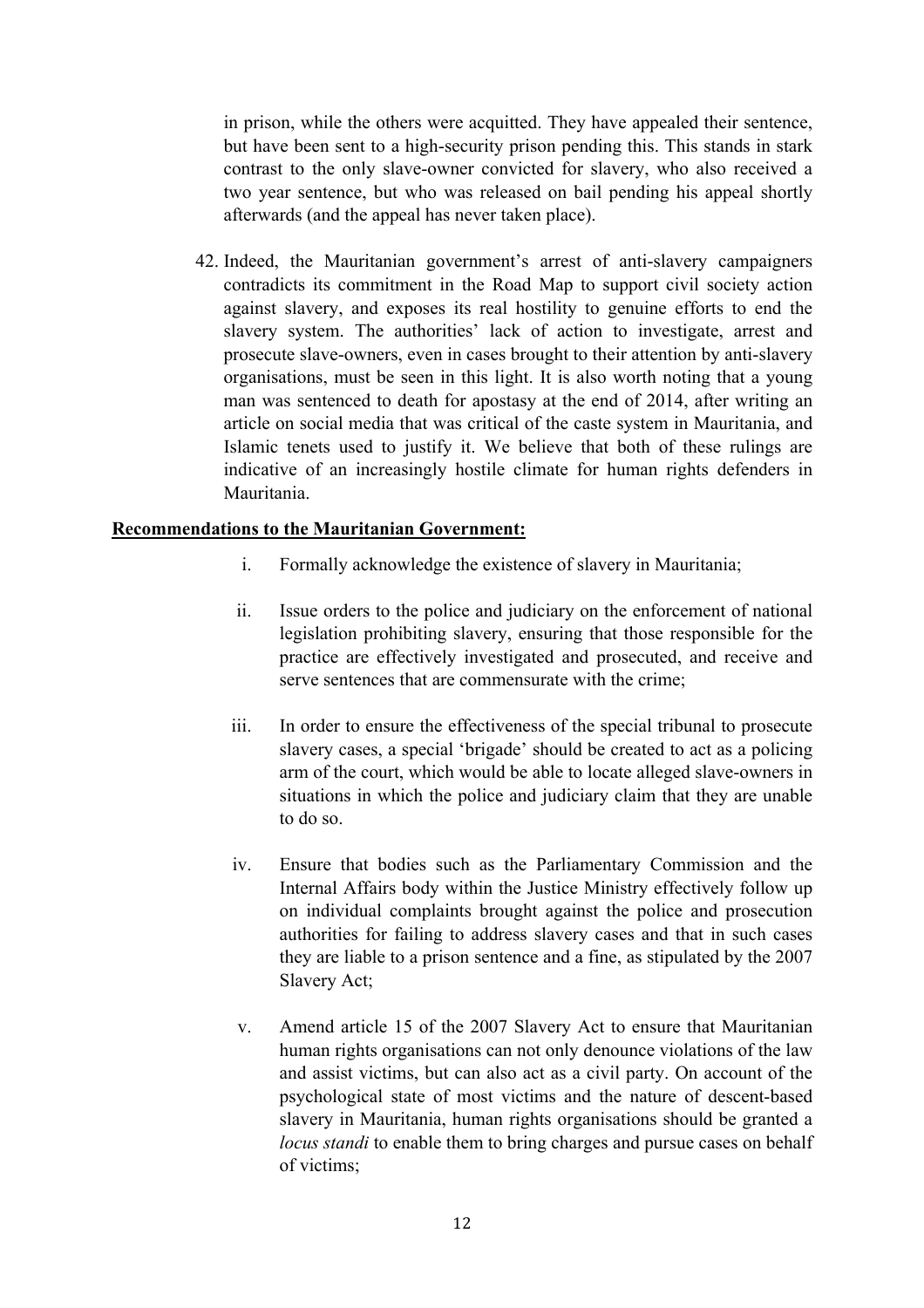in prison, while the others were acquitted. They have appealed their sentence, but have been sent to a high-security prison pending this. This stands in stark contrast to the only slave-owner convicted for slavery, who also received a two year sentence, but who was released on bail pending his appeal shortly afterwards (and the appeal has never taken place).

42. Indeed, the Mauritanian government's arrest of anti-slavery campaigners contradicts its commitment in the Road Map to support civil society action against slavery, and exposes its real hostility to genuine efforts to end the slavery system. The authorities' lack of action to investigate, arrest and prosecute slave-owners, even in cases brought to their attention by anti-slavery organisations, must be seen in this light. It is also worth noting that a young man was sentenced to death for apostasy at the end of 2014, after writing an article on social media that was critical of the caste system in Mauritania, and Islamic tenets used to justify it. We believe that both of these rulings are indicative of an increasingly hostile climate for human rights defenders in Mauritania.

# **Recommendations to the Mauritanian Government:**

- i. Formally acknowledge the existence of slavery in Mauritania;
- ii. Issue orders to the police and judiciary on the enforcement of national legislation prohibiting slavery, ensuring that those responsible for the practice are effectively investigated and prosecuted, and receive and serve sentences that are commensurate with the crime;
- iii. In order to ensure the effectiveness of the special tribunal to prosecute slavery cases, a special 'brigade' should be created to act as a policing arm of the court, which would be able to locate alleged slave-owners in situations in which the police and judiciary claim that they are unable to do so.
- iv. Ensure that bodies such as the Parliamentary Commission and the Internal Affairs body within the Justice Ministry effectively follow up on individual complaints brought against the police and prosecution authorities for failing to address slavery cases and that in such cases they are liable to a prison sentence and a fine, as stipulated by the 2007 Slavery Act;
- v. Amend article 15 of the 2007 Slavery Act to ensure that Mauritanian human rights organisations can not only denounce violations of the law and assist victims, but can also act as a civil party. On account of the psychological state of most victims and the nature of descent-based slavery in Mauritania, human rights organisations should be granted a *locus standi* to enable them to bring charges and pursue cases on behalf of victims;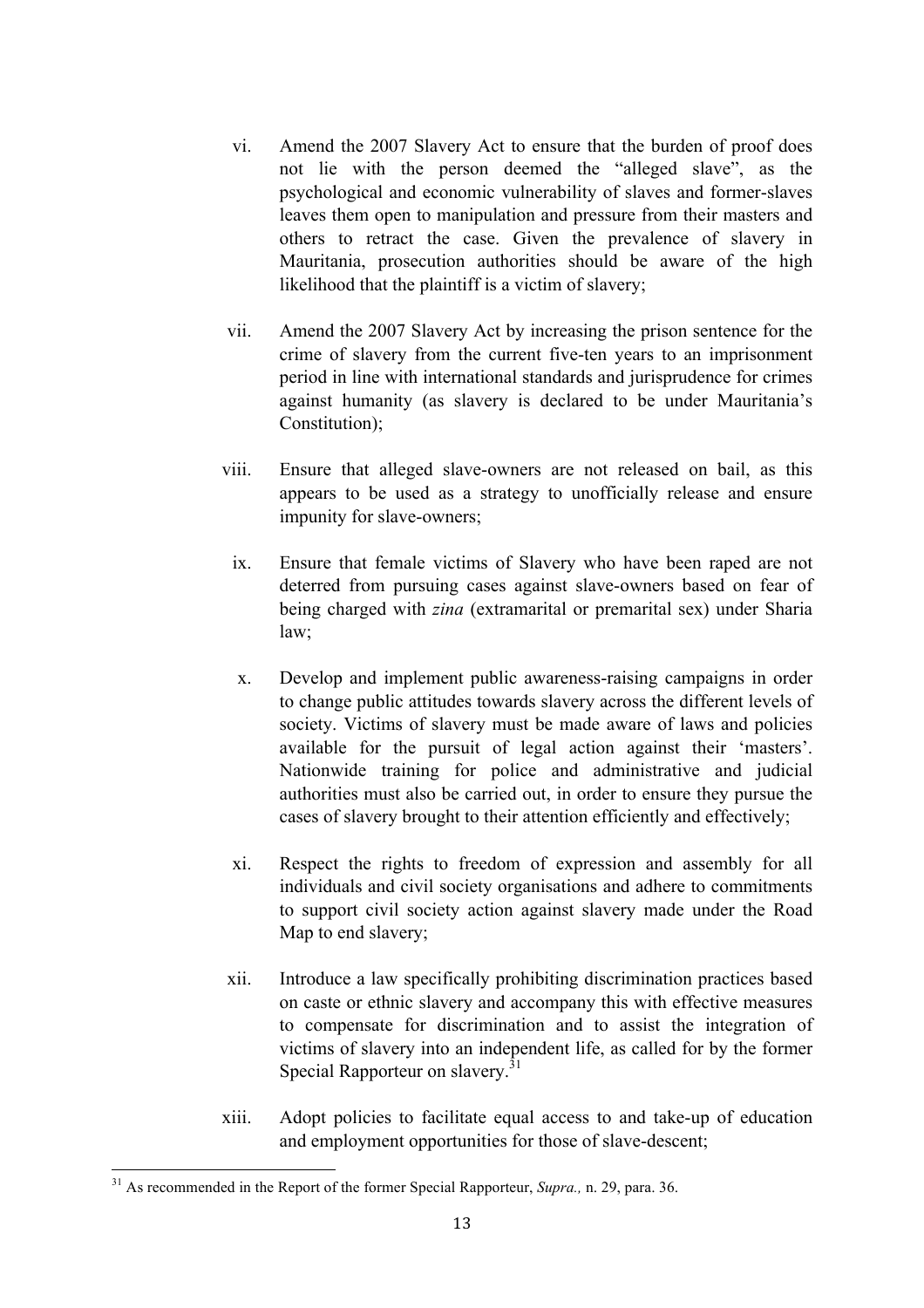- vi. Amend the 2007 Slavery Act to ensure that the burden of proof does not lie with the person deemed the "alleged slave", as the psychological and economic vulnerability of slaves and former-slaves leaves them open to manipulation and pressure from their masters and others to retract the case. Given the prevalence of slavery in Mauritania, prosecution authorities should be aware of the high likelihood that the plaintiff is a victim of slavery;
- vii. Amend the 2007 Slavery Act by increasing the prison sentence for the crime of slavery from the current five-ten years to an imprisonment period in line with international standards and jurisprudence for crimes against humanity (as slavery is declared to be under Mauritania's Constitution);
- viii. Ensure that alleged slave-owners are not released on bail, as this appears to be used as a strategy to unofficially release and ensure impunity for slave-owners;
	- ix. Ensure that female victims of Slavery who have been raped are not deterred from pursuing cases against slave-owners based on fear of being charged with *zina* (extramarital or premarital sex) under Sharia law;
	- x. Develop and implement public awareness-raising campaigns in order to change public attitudes towards slavery across the different levels of society. Victims of slavery must be made aware of laws and policies available for the pursuit of legal action against their 'masters'. Nationwide training for police and administrative and judicial authorities must also be carried out, in order to ensure they pursue the cases of slavery brought to their attention efficiently and effectively;
	- xi. Respect the rights to freedom of expression and assembly for all individuals and civil society organisations and adhere to commitments to support civil society action against slavery made under the Road Map to end slavery;
- xii. Introduce a law specifically prohibiting discrimination practices based on caste or ethnic slavery and accompany this with effective measures to compensate for discrimination and to assist the integration of victims of slavery into an independent life, as called for by the former Special Rapporteur on slavery.<sup>31</sup>
- xiii. Adopt policies to facilitate equal access to and take-up of education and employment opportunities for those of slave-descent;

 <sup>31</sup> As recommended in the Report of the former Special Rapporteur, *Supra.,* n. 29, para. 36.